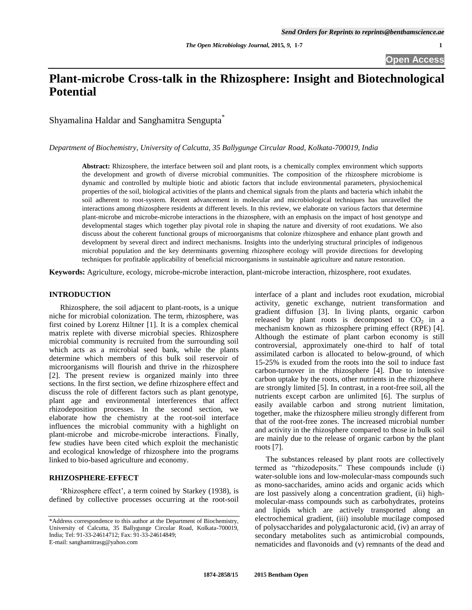# **Plant-microbe Cross-talk in the Rhizosphere: Insight and Biotechnological Potential**

Shyamalina Haldar and Sanghamitra Sengupta\*

*Department of Biochemistry, University of Calcutta, 35 Ballygunge Circular Road, Kolkata-700019, India*

**Abstract:** Rhizosphere, the interface between soil and plant roots, is a chemically complex environment which supports the development and growth of diverse microbial communities. The composition of the rhizosphere microbiome is dynamic and controlled by multiple biotic and abiotic factors that include environmental parameters, physiochemical properties of the soil, biological activities of the plants and chemical signals from the plants and bacteria which inhabit the soil adherent to root-system. Recent advancement in molecular and microbiological techniques has unravelled the interactions among rhizosphere residents at different levels. In this review, we elaborate on various factors that determine plant-microbe and microbe-microbe interactions in the rhizosphere, with an emphasis on the impact of host genotype and developmental stages which together play pivotal role in shaping the nature and diversity of root exudations. We also discuss about the coherent functional groups of microorganisms that colonize rhizosphere and enhance plant growth and development by several direct and indirect mechanisms. Insights into the underlying structural principles of indigenous microbial population and the key determinants governing rhizosphere ecology will provide directions for developing techniques for profitable applicability of beneficial microorganisms in sustainable agriculture and nature restoration.

**Keywords:** Agriculture, ecology, microbe-microbe interaction, plant-microbe interaction, rhizosphere, root exudates.

#### **INTRODUCTION**

Rhizosphere, the soil adjacent to plant-roots, is a unique niche for microbial colonization. The term, rhizosphere, was first coined by Lorenz Hiltner [1]. It is a complex chemical matrix replete with diverse microbial species. Rhizosphere microbial community is recruited from the surrounding soil which acts as a microbial seed bank, while the plants determine which members of this bulk soil reservoir of microorganisms will flourish and thrive in the rhizosphere [2]. The present review is organized mainly into three sections. In the first section, we define rhizosphere effect and discuss the role of different factors such as plant genotype, plant age and environmental interferences that affect rhizodeposition processes. In the second section, we elaborate how the chemistry at the root-soil interface influences the microbial community with a highlight on plant-microbe and microbe-microbe interactions. Finally, few studies have been cited which exploit the mechanistic and ecological knowledge of rhizosphere into the programs linked to bio-based agriculture and economy.

### **RHIZOSPHERE-EFFECT**

'Rhizosphere effect', a term coined by Starkey (1938), is defined by collective processes occurring at the root-soil interface of a plant and includes root exudation, microbial activity, genetic exchange, nutrient transformation and gradient diffusion [3]. In living plants, organic carbon released by plant roots is decomposed to  $CO<sub>2</sub>$  in a mechanism known as rhizosphere priming effect (RPE) [4]. Although the estimate of plant carbon economy is still controversial, approximately one-third to half of total assimilated carbon is allocated to below-ground, of which 15-25% is exuded from the roots into the soil to induce fast carbon-turnover in the rhizosphere [4]. Due to intensive carbon uptake by the roots, other nutrients in the rhizosphere are strongly limited [5]. In contrast, in a root-free soil, all the nutrients except carbon are unlimited [6]. The surplus of easily available carbon and strong nutrient limitation, together, make the rhizosphere milieu strongly different from that of the root-free zones. The increased microbial number and activity in the rhizosphere compared to those in bulk soil are mainly due to the release of organic carbon by the plant roots [7].

The substances released by plant roots are collectively termed as "rhizodeposits." These compounds include (i) water-soluble ions and low-molecular-mass compounds such as mono-saccharides, amino acids and organic acids which are lost passively along a concentration gradient, (ii) highmolecular-mass compounds such as carbohydrates, proteins and lipids which are actively transported along an electrochemical gradient, (iii) insoluble mucilage composed of polysaccharides and polygalacturonic acid, (iv) an array of secondary metabolites such as antimicrobial compounds, nematicides and flavonoids and (v) remnants of the dead and

<sup>\*</sup>Address correspondence to this author at the Department of Biochemistry, University of Calcutta, 35 Ballygunge Circular Road, Kolkata-700019, India; Tel: 91-33-24614712; Fax: 91-33-24614849; E-mail: sanghamitrasg@yahoo.com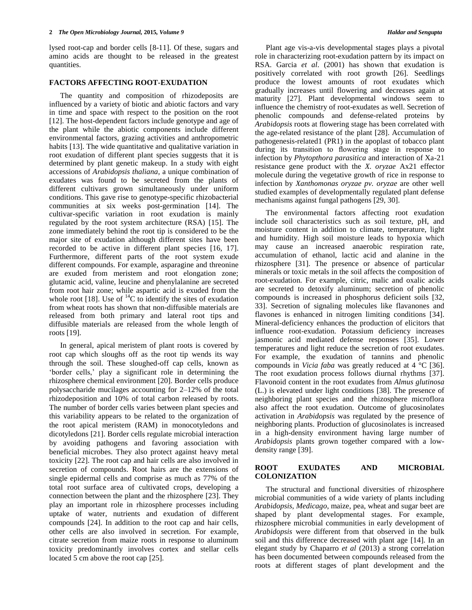lysed root-cap and border cells [8-11]. Of these, sugars and amino acids are thought to be released in the greatest quantities.

#### **FACTORS AFFECTING ROOT-EXUDATION**

The quantity and composition of rhizodeposits are influenced by a variety of biotic and abiotic factors and vary in time and space with respect to the position on the root [12]. The host-dependent factors include genotype and age of the plant while the abiotic components include different environmental factors, grazing activities and anthropometric habits [13]. The wide quantitative and qualitative variation in root exudation of different plant species suggests that it is determined by plant genetic makeup. In a study with eight accessions of *Arabidopsis thaliana*, a unique combination of exudates was found to be secreted from the plants of different cultivars grown simultaneously under uniform conditions. This gave rise to genotype-specific rhizobacterial communities at six weeks post-germination [14]. The cultivar-specific variation in root exudation is mainly regulated by the root system architecture (RSA) [15]. The zone immediately behind the root tip is considered to be the major site of exudation although different sites have been recorded to be active in different plant species [16, 17]. Furthermore, different parts of the root system exude different compounds. For example, asparagine and threonine are exuded from meristem and root elongation zone; glutamic acid, valine, leucine and phenylalanine are secreted from root hair zone; while aspartic acid is exuded from the whole root [18]. Use of  $^{14}$ C to identify the sites of exudation from wheat roots has shown that non-diffusible materials are released from both primary and lateral root tips and diffusible materials are released from the whole length of roots [19].

In general, apical meristem of plant roots is covered by root cap which sloughs off as the root tip wends its way through the soil. These sloughed-off cap cells, known as "border cells," play a significant role in determining the rhizosphere chemical environment [20]. Border cells produce polysaccharide mucilages accounting for 2–12% of the total rhizodeposition and 10% of total carbon released by roots. The number of border cells varies between plant species and this variability appears to be related to the organization of the root apical meristem (RAM) in monocotyledons and dicotyledons [21]. Border cells regulate microbial interaction by avoiding pathogens and favoring association with beneficial microbes. They also protect against heavy metal toxicity [22]. The root cap and hair cells are also involved in secretion of compounds. Root hairs are the extensions of single epidermal cells and comprise as much as 77% of the total root surface area of cultivated crops, developing a connection between the plant and the rhizosphere [23]. They play an important role in rhizosphere processes including uptake of water, nutrients and exudation of different compounds [24]. In addition to the root cap and hair cells, other cells are also involved in secretion. For example, citrate secretion from maize roots in response to aluminum toxicity predominantly involves cortex and stellar cells located 5 cm above the root cap [25].

Plant age vis-a-vis developmental stages plays a pivotal role in characterizing root-exudation pattern by its impact on RSA. Garcia *et al*. (2001) has shown that exudation is positively correlated with root growth [26]. Seedlings produce the lowest amounts of root exudates which gradually increases until flowering and decreases again at maturity [27]. Plant developmental windows seem to influence the chemistry of root-exudates as well. Secretion of phenolic compounds and defense-related proteins by *Arabidopsis* roots at flowering stage has been correlated with the age-related resistance of the plant [28]. Accumulation of pathogenesis-related1 (PR1) in the apoplast of tobacco plant during its transition to flowering stage in response to infection by *Phytopthora parasitica* and interaction of Xa-21 resistance gene product with the *X. oryzae* Ax21 effector molecule during the vegetative growth of rice in response to infection by *Xanthomonas oryzae pv. oryzae* are other well studied examples of developmentally regulated plant defense mechanisms against fungal pathogens [29, 30].

The environmental factors affecting root exudation include soil characteristics such as soil texture, pH, and moisture content in addition to climate, temperature, light and humidity. High soil moisture leads to hypoxia which may cause an increased anaerobic respiration rate, accumulation of ethanol, lactic acid and alanine in the rhizosphere [31]. The presence or absence of particular minerals or toxic metals in the soil affects the composition of root-exudation. For example, citric, malic and oxalic acids are secreted to detoxify aluminum; secretion of phenolic compounds is increased in phosphorus deficient soils [32, 33]. Secretion of signaling molecules like flavanones and flavones is enhanced in nitrogen limiting conditions [34]. Mineral-deficiency enhances the production of elicitors that influence root-exudation. Potassium deficiency increases jasmonic acid mediated defense responses [35]. Lower temperatures and light reduce the secretion of root exudates. For example, the exudation of tannins and phenolic compounds in *Vicia faba* was greatly reduced at 4 °C [36]. The root exudation process follows diurnal rhythms [37]. Flavonoid content in the root exudates from *Almus glutinosa*  (L.) is elevated under light conditions [38]. The presence of neighboring plant species and the rhizosphere microflora also affect the root exudation. Outcome of glucosinolates activation in *Arabidopsis* was regulated by the presence of neighboring plants. Production of glucosinolates is increased in a high-density environment having large number of *Arabidopsis* plants grown together compared with a lowdensity range [39].

### **ROOT EXUDATES AND MICROBIAL COLONIZATION**

The structural and functional diversities of rhizosphere microbial communities of a wide variety of plants including *Arabidopsis*, *Medicago*, maize, pea, wheat and sugar beet are shaped by plant developmental stages. For example, rhizosphere microbial communities in early development of *Arabidopsis* were different from that observed in the bulk soil and this difference decreased with plant age [14]. In an elegant study by Chaparro *et al* (2013) a strong correlation has been documented between compounds released from the roots at different stages of plant development and the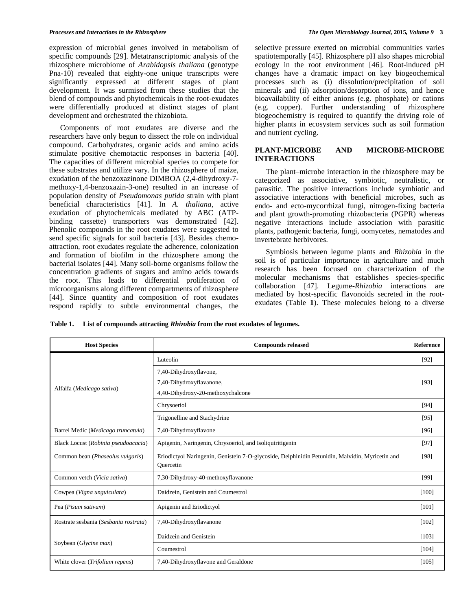expression of microbial genes involved in metabolism of specific compounds [29]. Metatranscriptomic analysis of the rhizosphere microbiome of *Arabidopsis thaliana* (genotype Pna-10) revealed that eighty-one unique transcripts were significantly expressed at different stages of plant development. It was surmised from these studies that the blend of compounds and phytochemicals in the root-exudates were differentially produced at distinct stages of plant development and orchestrated the rhizobiota.

Components of root exudates are diverse and the researchers have only begun to dissect the role on individual compound. Carbohydrates, organic acids and amino acids stimulate positive chemotactic responses in bacteria [40]. The capacities of different microbial species to compete for these substrates and utilize vary. In the rhizosphere of maize, exudation of the benzoxazinone DIMBOA (2,4-dihydroxy-7 methoxy-1,4-benzoxazin-3-one) resulted in an increase of population density of *Pseudomonas putida* strain with plant beneficial characteristics [41]. In *A. thaliana*, active exudation of phytochemicals mediated by ABC (ATPbinding cassette) transporters was demonstrated [42]. Phenolic compounds in the root exudates were suggested to send specific signals for soil bacteria [43]. Besides chemoattraction, root exudates regulate the adherence, colonization and formation of biofilm in the rhizosphere among the bacterial isolates [44]. Many soil-borne organisms follow the concentration gradients of sugars and amino acids towards the root. This leads to differential proliferation of microorganisms along different compartments of rhizosphere [44]. Since quantity and composition of root exudates respond rapidly to subtle environmental changes, the

selective pressure exerted on microbial communities varies spatiotemporally [45]. Rhizosphere pH also shapes microbial ecology in the root environment [46]. Root-induced pH changes have a dramatic impact on key biogeochemical processes such as (i) dissolution/precipitation of soil minerals and (ii) adsorption/desorption of ions, and hence bioavailability of either anions (e.g. phosphate) or cations (e.g. copper). Further understanding of rhizosphere biogeochemistry is required to quantify the driving role of higher plants in ecosystem services such as soil formation and nutrient cycling.

#### **PLANT-MICROBE AND MICROBE-MICROBE INTERACTIONS**

The plant–microbe interaction in the rhizosphere may be categorized as associative, symbiotic, neutralistic, or parasitic. The positive interactions include symbiotic and associative interactions with beneficial microbes, such as endo- and ecto-mycorrhizal fungi, nitrogen-fixing bacteria and plant growth-promoting rhizobacteria (PGPR) whereas negative interactions include association with parasitic plants, pathogenic bacteria, fungi, oomycetes, nematodes and invertebrate herbivores.

Symbiosis between legume plants and *Rhizobia* in the soil is of particular importance in agriculture and much research has been focused on characterization of the molecular mechanisms that establishes species-specific collaboration [47]. Legume-*Rhizobia* interactions are mediated by host-specific flavonoids secreted in the rootexudates (Table **1**). These molecules belong to a diverse

**Table 1. List of compounds attracting** *Rhizobia* **from the root exudates of legumes.**

| <b>Host Species</b>                   | <b>Compounds released</b>                                                                                    | <b>Reference</b> |
|---------------------------------------|--------------------------------------------------------------------------------------------------------------|------------------|
| Alfalfa (Medicago sativa)             | Luteolin                                                                                                     | $[92]$           |
|                                       | 7,40-Dihydroxyflavone,                                                                                       |                  |
|                                       | 7,40-Dihydroxyflavanone,                                                                                     | [93]             |
|                                       | 4,40-Dihydroxy-20-methoxychalcone                                                                            |                  |
|                                       | Chrysoeriol                                                                                                  | $[94]$           |
|                                       | Trigonelline and Stachydrine                                                                                 | [95]             |
| Barrel Medic (Medicago truncatula)    | 7,40-Dihydroxyflavone                                                                                        | [96]             |
| Black Locust (Robinia pseudoacacia)   | Apigenin, Naringenin, Chrysoeriol, and Isoliquiritigenin                                                     | $[97]$           |
| Common bean (Phaseolus vulgaris)      | Eriodictyol Naringenin, Genistein 7-O-glycoside, Delphinidin Petunidin, Malvidin, Myricetin and<br>Quercetin | [98]             |
| Common vetch (Vicia sativa)           | 7,30-Dihydroxy-40-methoxyflavanone                                                                           | [99]             |
| Cowpea (Vigna unguiculata)            | Daidzein, Genistein and Coumestrol                                                                           | $[100]$          |
| Pea (Pisum sativum)                   | Apigenin and Eriodictyol                                                                                     | $[101]$          |
| Rostrate sesbania (Sesbania rostrata) | 7,40-Dihydroxyflavanone                                                                                      | $[102]$          |
| Soybean (Glycine max)                 | Daidzein and Genistein                                                                                       | [103]            |
|                                       | Coumestrol                                                                                                   | [104]            |
| White clover (Trifolium repens)       | 7,40-Dihydroxyflavone and Geraldone                                                                          | [105]            |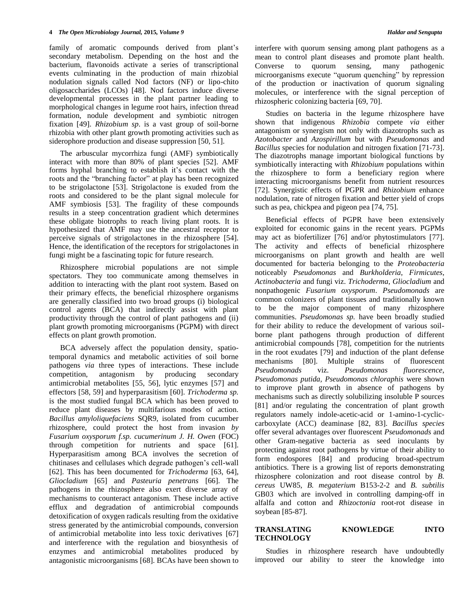family of aromatic compounds derived from plant's secondary metabolism. Depending on the host and the bacterium, flavonoids activate a series of transcriptional events culminating in the production of main rhizobial nodulation signals called Nod factors (NF) or lipo-chito oligosaccharides (LCOs) [48]. Nod factors induce diverse developmental processes in the plant partner leading to morphological changes in legume root hairs, infection thread formation, nodule development and symbiotic nitrogen fixation [49]. *Rhizobium sp*. is a vast group of soil-borne rhizobia with other plant growth promoting activities such as siderophore production and disease suppression [50, 51].

The arbuscular mycorrhiza fungi (AMF) symbiotically interact with more than 80% of plant species [52]. AMF forms hyphal branching to establish it"s contact with the roots and the "branching factor" at play has been recognized to be strigolactone [53]. Strigolactone is exuded from the roots and considered to be the plant signal molecule for AMF symbiosis [53]. The fragility of these compounds results in a steep concentration gradient which determines these obligate biotrophs to reach living plant roots. It is hypothesized that AMF may use the ancestral receptor to perceive signals of strigolactones in the rhizosphere [54]. Hence, the identification of the receptors for strigolactones in fungi might be a fascinating topic for future research.

Rhizosphere microbial populations are not simple spectators. They too communicate among themselves in addition to interacting with the plant root system. Based on their primary effects, the beneficial rhizosphere organisms are generally classified into two broad groups (i) biological control agents (BCA) that indirectly assist with plant productivity through the control of plant pathogens and (ii) plant growth promoting microorganisms (PGPM) with direct effects on plant growth promotion.

BCA adversely affect the population density, spatiotemporal dynamics and metabolic activities of soil borne pathogens *via* three types of interactions. These include competition, antagonism by producing secondary antimicrobial metabolites [55, 56], lytic enzymes [57] and effectors [58, 59] and hyperparasitism [60]. *Trichoderma sp.* is the most studied fungal BCA which has been proved to reduce plant diseases by multifarious modes of action. *Bacillus amyloliquefaciens* SQR9, isolated from cucumber rhizosphere, could protect the host from invasion *by Fusarium oxysporum f.sp. cucumerinum J. H. Owen* (FOC) through competition for nutrients and space [61]. Hyperparasitism among BCA involves the secretion of chitinases and cellulases which degrade pathogen"s cell-wall [62]. This has been documented for *Trichoderma* [63, 64], *Gliocladium* [65] and *Pasteuria penetrans* [66]. The pathogens in the rhizosphere also exert diverse array of mechanisms to counteract antagonism. These include active efflux and degradation of antimicrobial compounds detoxification of oxygen radicals resulting from the oxidative stress generated by the antimicrobial compounds, conversion of antimicrobial metabolite into less toxic derivatives [67] and interference with the regulation and biosynthesis of enzymes and antimicrobial metabolites produced by antagonistic microorganisms [68]. BCAs have been shown to

interfere with quorum sensing among plant pathogens as a mean to control plant diseases and promote plant health. Converse to quorum sensing, many pathogenic microorganisms execute "quorum quenching" by repression of the production or inactivation of quorum signaling molecules, or interference with the signal perception of rhizospheric colonizing bacteria [69, 70].

Studies on bacteria in the legume rhizosphere have shown that indigenous *Rhizobia* compete *via* either antagonism or synergism not only with diazotrophs such as *Azotobacter* and *Azospirillum* but with *Pseudomonas* and *Bacillus* species for nodulation and nitrogen fixation [71-73]. The diazotrophs manage important biological functions by symbiotically interacting with *Rhizobium* populations within the rhizosphere to form a beneficiary region where interacting microorganisms benefit from nutrient resources [72]. Synergistic effects of PGPR and *Rhizobium* enhance nodulation, rate of nitrogen fixation and better yield of crops such as pea, chickpea and pigeon pea [74, 75].

Beneficial effects of PGPR have been extensively exploited for economic gains in the recent years. PGPMs may act as biofertilizer [76] and/or phytostimulators [77]. The activity and effects of beneficial rhizosphere microorganisms on plant growth and health are well documented for bacteria belonging to the *Proteobacteria* noticeably *Pseudomonas* and *Burkholderia*, *Firmicutes*, *Actinobacteria* and fungi viz. *Trichoderma*, *Gliocladium* and nonpathogenic *Fusarium oxysporum*. *Pseudomonads* are common colonizers of plant tissues and traditionally known to be the major component of many rhizosphere communities. *Pseudomonas sp.* have been broadly studied for their ability to reduce the development of various soilborne plant pathogens through production of different antimicrobial compounds [78], competition for the nutrients in the root exudates [79] and induction of the plant defense mechanisms [80]. Multiple strains of fluorescent *Pseudomonads* viz. *Pseudomonas fluorescence*, *Pseudomonas putida, Pseudomonas chloraphis* were shown to improve plant growth in absence of pathogens by mechanisms such as directly solubilizing insoluble P sources [81] and/or regulating the concentration of plant growth regulators namely indole-acetic-acid or 1-amino-1-cycliccarboxylate (ACC) deaminase [82, 83]. *Bacillus species* offer several advantages over fluorescent *Pseudomonads* and other Gram-negative bacteria as seed inoculants by protecting against root pathogens by virtue of their ability to form endospores [84] and producing broad-spectrum antibiotics. There is a growing list of reports demonstrating rhizosphere colonization and root disease control by *B. cereus* UW85, *B. megaterium* B153-2-2 and *B. subtilis* GB03 which are involved in controlling damping-off in alfalfa and cotton and *Rhizoctonia* root-rot disease in soybean [85-87].

# **TRANSLATING KNOWLEDGE INTO TECHNOLOGY**

Studies in rhizosphere research have undoubtedly improved our ability to steer the knowledge into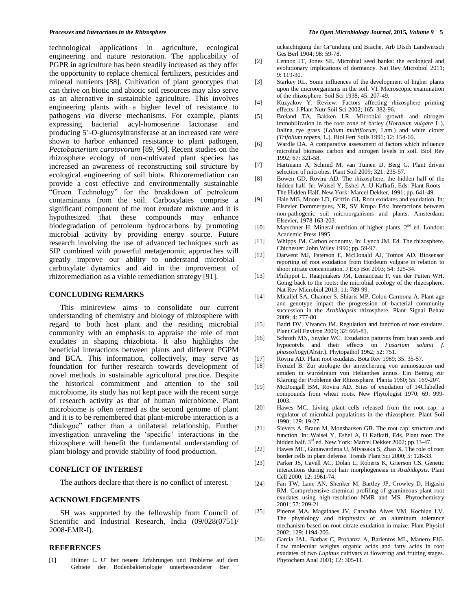technological applications in agriculture, ecological engineering and nature restoration. The applicability of PGPR in agriculture has been steadily increased as they offer the opportunity to replace chemical fertilizers, pesticides and mineral nutrients [88]. Cultivation of plant genotypes that can thrive on biotic and abiotic soil resources may also serve as an alternative in sustainable agriculture. This involves engineering plants with a higher level of resistance to pathogens *via* diverse mechanisms. For example, plants expressing bacterial acyl-homoserine lactonase and producing 5"-O-glucosyltransferase at an increased rate were shown to harbor enhanced resistance to plant pathogen, *Pectobacterium carotovorum* [89, 90]. Recent studies on the rhizosphere ecology of non-cultivated plant species has increased an awareness of reconstructing soil structure by ecological engineering of soil biota. Rhizoremediation can provide a cost effective and environmentally sustainable "Green Technology" for the breakdown of petroleum contaminants from the soil. Carboxylates comprise a significant component of the root exudate mixture and it is hypothesized that these compounds may enhance biodegradation of petroleum hydrocarbons by promoting microbial activity by providing energy source. Future research involving the use of advanced techniques such as SIP combined with powerful metagenomic approaches will greatly improve our ability to understand microbial– carboxylate dynamics and aid in the improvement of rhizoremediation as a viable remediation strategy [91].

#### **CONCLUDING REMARKS**

This minireview aims to consolidate our current understanding of chemistry and biology of rhizosphere with regard to both host plant and the residing microbial community with an emphasis to appraise the role of root exudates in shaping rhizobiota. It also highlights the beneficial interactions between plants and different PGPM and BCA. This information, collectively, may serve as foundation for further research towards development of novel methods in sustainable agricultural practice. Despite the historical commitment and attention to the soil microbiome, its study has not kept pace with the recent surge of research activity as that of human microbiome. Plant microbiome is often termed as the second genome of plant and it is to be remembered that plant-microbe interaction is a "dialogue" rather than a unilateral relationship. Further investigation unraveling the 'specific' interactions in the rhizosphere will benefit the fundamental understanding of plant biology and provide stability of food production.

## **CONFLICT OF INTEREST**

The authors declare that there is no conflict of interest.

#### **ACKNOWLEDGEMENTS**

SH was supported by the fellowship from Council of Scientific and Industrial Research, India (09/028(0751)/ 2008-EMR-I).

#### **REFERENCES**

ucksichtigung der Gr¨undung und Brache. Arb Dtsch Landwirtsch Ges Berl 1904; 98: 59-78.

- [2] Lennon JT, Jones SE. Microbial seed banks: the ecological and evolutionary implications of dormancy. Nat Rev Microbiol 2011; 9: 119-30.
- [3] Starkey RL. Some influences of the development of higher plants upon the microorganisms in the soil. VI. Microscopic examination of the rhizosphere. Soil Sci 1938; 45: 207-49.
- [4] Kuzyakov Y. Review: Factors affecting rhizosphere priming effects. J Plant Nutr Soil Sci 2002; 165: 382-96.
- [5] Breland TA, Bakken LR. Microbial growth and nitrogen immobilization in the root zone of barley (*Hordeum vulgare* L.), Italina rye grass (*Lolium multiflorum*, Lam.) and white clover (*Trifolium repens*, L.). Biol Fert Soils 1991; 12: 154-60.
- [6] Wardle DA. A comparative assessment of factors which influence microbial biomass carbon and nitrogen levels in soil. Biol Rev 1992; 67: 321-58.
- [7] Hartmann A, Schmid M, van Tuinen D, Berg G. Plant driven selection of microbes. Plant Soil 2009; 321: 235-57.
- [8] Bowen GD, Rovira AD. The rhizosphere, the hidden half of the hidden half. In: Waisel Y, Eshel A, U Kafkafi, Eds: Plant Roots -The Hidden Half. New York: Marcel Dekker, 1991; pp. 641-49.
- [9] Hale MG, Moore LD, Griffin GJ. Root exudates and exudation. In: Elsevier Dommergues, YR, SV Krupa Eds: Interactions between non-pathogenic soil microorganisms and plants. Amsterdam: Elsevier, 1978 163-203.
- [10] Marschner H. Mineral nutrition of higher plants.  $2<sup>nd</sup>$  ed. London: Academic Press 1995.
- [11] Whipps JM. Carbon economy. In: Lynch JM, Ed. The rhizosphere. Chichester: John Wiley 1990; pp. 59-97.
- [12] Darwent MJ, Paterson E, McDonald AJ, Tomos AD. Biosensor reporting of root exudation from Hordeum vulgare in relation to shoot nitrate concentration. J Exp Bot 2003; 54: 325-34.
- [13] Philippot L, Raaijmakers JM, Lemanceau P, van der Putten WH. Going back to the roots: the microbial ecology of the rhizosphere. Nat Rev Microbiol 2013; 11: 789-99.
- [14] Micallef SA, Channer S, Shiaris MP, Colon-Carmona A. Plant age and genotype impact the progression of bacterial community succession in the *Arabidopsis* rhizosphere. Plant Signal Behav 2009; 4: 777-80.
- [15] Badri DV, Vivanco JM. Regulation and function of root exudates. Plant Cell Environ 2009; 32: 666-81.
- [16] Schroth MN, Snyder WC. Exudation patterns from bean seeds and hypocotyls and their effects on *Fusarium solanii f. phaseoli*ogy(Abstr.). Phytopathol 1962; 52: 751.
- [17] Rovira AD. Plant root exudates. Bota Rev 1969; 35: 35-57.
- Frenzel B. Zur atiologie der anreicherung von aminosauren und amiden in wurzelraum von Helianthes annus. Ein Beitrag zur Klarung der Probleme der Rhizosphare. Planta 1960; 55: 169-207.
- [19] McDougall BM, Rovira AD. Sites of exudation of 14Clabelled compounds from wheat roots. New Phytologist 1970; 69: 999- 1003.
- [20] Hawes MC. Living plant cells released from the root cap: a regulator of microbial populations in the rhizosphere. Plant Soil 1990; 129: 19-27.
- [21] Sievers A, Braun M, Monshausen GB. The root cap: structure and function. In: Waisel Y, Eshel A, U Kafkafi, Eds. Plant root: The hidden half. 3<sup>rd</sup> ed. New York: Marcel Dekker 2002; pp.33-47.
- [22] Hawes MC, Gunawardena U, Miyasaka S, Zhao X. The role of root border cells in plant defense. Trends Plant Sci 2000; 5: 128-33.
- [23] Parker JS, Cavell AC, Dolan L, Roberts K, Grierson CS. Genetic interactions during root hair morphogenesis in *Arabidopsis*. Plant Cell 2000; 12: 1961-74.
- [24] Fan TW, Lane AN, Shenker M, Bartley JP, Crowley D, Higashi RM. Comprehensive chemical profiling of gramineous plant root exudates using high-resolution NMR and MS. Phytochemistry 2001; 57: 209-21.
- [25] Pineros MA, Magalhaes JV, Carvalho Alves VM, Kochian LV. The physiology and biophysics of an aluminum tolerance mechanism based on root citrate exudation in maize. Plant Physiol 2002; 129: 1194-206.
- [26] Garcia JAL, Barbas C, Probanza A, Barientos ML, Manero FJG. Low molecular weights organic acids and fatty acids in root exudates of two *Lupinus* cultivars at flowering and fruiting stages. Phytochem Anal 2001; 12: 305-11.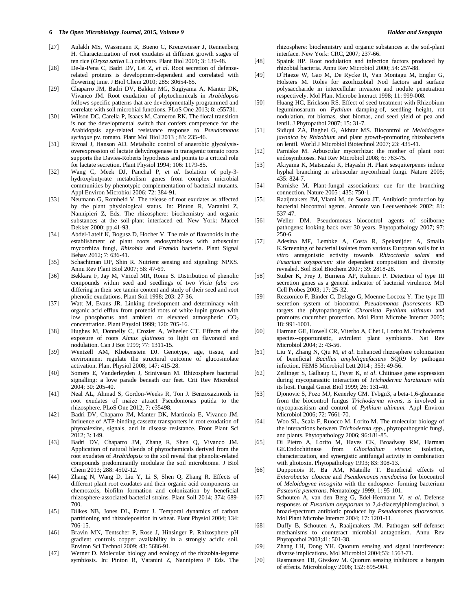- [27] Aulakh MS, Wassmann R, Bueno C, Kreuzwieser J, Rennenberg H. Characterization of root exudates at different growth stages of ten rice (*Oryza sativa* L.) cultivars. Plant Biol 2001; 3: 139-48.
- [28] De-la-Pena C, Badri DV, Lei Z, *et al*. Root secretion of defenserelated proteins is development-dependent and correlated with flowering time. J Biol Chem 2010; 285: 30654-65.
- [29] Chaparro JM, Badri DV, Bakker MG, Sugiyama A, Manter DK, Vivanco JM. Root exudation of phytochemicals in *Arabidopsis* follows specific patterns that are developmentally programmed and correlate with soil microbial functions. PLoS One 2013; 8: e55731.
- [30] Wilson DC, Carella P, Isaacs M, Cameron RK. The floral transition is not the developmental switch that confers competence for the Arabidopsis age-related resistance response to *Pseudomonas syringae* pv. tomato. Plant Mol Biol 2013 ; 83: 235-46.
- [31] Rivoal J, Hanson AD. Metabolic control of anaerobic glycolysisoverexpression of lactate dehydrogenase in transgenic tomato roots supports the Davies-Roberts hypothesis and points to a critical role for lactate secretion. Plant Physiol 1994; 106: 1179-85.
- [32] Wang C, Meek DJ, Panchal P, *et al*. Isolation of poly-3 hydroxybutyrate metabolism genes from complex microbial communities by phenotypic complementation of bacterial mutants. Appl Environ Microbiol 2006; 72: 384-91.
- [33] Neumann G, Romheld V. The release of root exudates as affected by the plant physiological status. In: Pinton R, Varanini Z, Nannipieri Z, Eds. The rhizosphere: biochemistry and organic substances at the soil-plant interfaced ed. New York: Marcel Dekker 2000; pp.41-93.
- [34] Abdel-Lateif K, Bogusz D, Hocher V. The role of flavonoids in the establishment of plant roots endosymbioses with arbuscular mycorrhiza fungi, *Rhizobia* and *Frankia* bacteria. Plant Signal Behav 2012; 7: 636-41.
- [35] Schachtman DP, Shin R. Nutrient sensing and signaling: NPKS. Annu Rev Plant Biol 2007; 58: 47-69.
- [36] Bekkara F, Jay M, Viricel MR, Rome S. Distribution of phenolic compounds within seed and seedlings of two *Vicia faba* cvs differing in their see tannin content and study of their seed and root phenolic exudations. Plant Soil 1998; 203: 27-36.
- [37] Watt M, Evans JR. Linking development and determinacy with organic acid efflux from proteoid roots of white lupin grown with low phosphorus and ambient or elevated atmospheric CO<sub>2</sub> concentration. Plant Physiol 1999; 120: 705-16.
- [38] Hughes M, Donnelly C, Crozier A, Wheeler CT. Effects of the exposure of roots *Almus glutinosa* to light on flavonoid and nodulation. Can J Bot 1999; 77: 1311-15.
- [39] Wentzell AM, Kliebenstein DJ. Genotype, age, tissue, and environment regulate the structural outcome of glucosinolate activation. Plant Physiol 2008; 147: 415-28.
- [40] Somers E, Vanderleyden J, Srinivasan M. Rhizosphere bacterial signalling: a love parade beneath our feet. Crit Rev Microbiol  $2004:30:205-40.$
- [41] Neal AL, Ahmad S, Gordon-Weeks R, Ton J. Benzoxazinoids in root exudates of maize attract Pseudomonas putida to the rhizosphere. PLoS One 2012; 7: e35498.
- [42] Badri DV, Chaparro JM, Manter DK, Martinoia E, Vivanco JM. Influence of ATP-binding cassette transporters in root exudation of phytoalexins, signals, and in disease resistance. Front Plant Sci 2012; 3: 149.
- [43] Badri DV, Chaparro JM, Zhang R, Shen Q, Vivanco JM. Application of natural blends of phytochemicals derived from the root exudates of *Arabidopsis* to the soil reveal that phenolic-related compounds predominantly modulate the soil microbiome. J Biol Chem 2013; 288: 4502-12.
- [44] Zhang N, Wang D, Liu Y, Li S, Shen Q, Zhang R. Effects of different plant root exudates and their organic acid components on chemotaxis, biofilm formation and colonization by beneficial rhizosphere-associated bacterial strains. Plant Soil 2014; 374: 689- 700.
- [45] Dilkes NB, Jones DL, Farrar J. Temporal dynamics of carbon partitioning and rhizodeposition in wheat. Plant Physiol 2004; 134: 706-15.
- [46] Bravin MN, Tentscher P, Rose J, Hinsinger P. Rhizosphere pH gradient controls copper availability in a strongly acidic soil. Environ Sci Technol 2009; 43: 5686-91.
- [47] Werner D. Molecular biology and ecology of the rhizobia-legume symbiosis. In: Pinton R, Varanini Z, Nannipiero P Eds. The

rhizosphere: biochemistry and organic substances at the soil-plant interface. New York: CRC, 2007; 237-66.

- [48] Spaink HP. Root nodulation and infection factors produced by rhizobial bacteria. Annu Rev Microbiol 2000; 54: 257-88.
- [49] D´Haeze W, Gao M, De Rycke R, Van Montagu M, Engler G, Holsters M. Roles for azorhizobial Nod factors and surface polysaccharide in intercellular invasion and nodule penetration respectively. Mol Plant Microbe Interact 1998; 11: 999-008.
- [50] Huang HC, Erickson RS. Effect of seed treatment with Rhizobium leguminosarum on *Pythium* damping-of, seedling height, rot nodulation, rot biomas, shot biomas, and seed yield of pea and lentil. J Phytopathol 2007; 15: 31-7.
- [51] Sidiqui ZA, Baghel G, Akhtar MS. Biocontrol of *Meloidogyne javanica* by *Rhizobium* and plant growth-promoting rhizobacteria on lentil. World J Microbiol Biotechnol 2007; 23: 435-41.
- [52] Parniske M. Arbuscular mycorrhiza: the mother of plant root endosymbioses. Nat Rev Microbiol 2008; 6: 763-75.
- [53] Akiyama K, Matsuzaki K, Hayashi H. Plant sesquiterpenes induce hyphal branching in arbuscular mycorrhizal fungi. Nature 2005; 435: 824-7.
- [54] Parniske M. Plant-fungal associations: cue for the branching connection. Nature 2005 ; 435: 750-1.
- [55] Raaijmakers JM, Vlami M, de Souza JT. Antibiotic production by bacterial biocontrol agents. Antonie van Leeuwenhoek 2002; 81: 537-47.
- [56] Weller DM. Pseudomonas biocontrol agents of soilborne pathogens: looking back over 30 years. Phytopathology 2007; 97: 250-6.
- [57] Adesina MF, Lembke A, Costa R, Speksnijder A, Smalla K.Screening of bacterial isolates from various European soils for *in vitro* antagonistic activity towards *Rhizoctonia solani* and *Fusarium oxysporum:* site dependent composition and diversity revealed. Soil Biol Biochem 2007; 39: 2818-28.
- [58] Stuber K, Frey J, Burnens AP, Kuhnert P. Detection of type III secretion genes as a general indicator of bacterial virulence. Mol Cell Probes 2003; 17: 25-32.
- [59] Rezzonico F, Binder C, Defago G, Moenne-Loccoz Y. The type III secretion system of biocontrol *Pseudomonas fluorescens* KD targets the phytopathogenic *Chromista Pythium ultimum* and promotes cucumber protection. Mol Plant Microbe Interact 2005; 18: 991-1001.
- [60] Harman GE, Howell CR, Viterbo A, Chet I, Lorito M. Trichoderma species--opportunistic, avirulent plant symbionts. Nat Rev Microbiol 2004; 2: 43-56.
- [61] Liu Y, Zhang N, Qiu M, *et al*. Enhanced rhizosphere colonization of beneficial *Bacillus amyloliquefaciens* SQR9 by pathogen infection. FEMS Microbiol Lett 2014 ; 353: 49-56.
- [62] Zeilinger S, Galhaup C, Payer K, *et al*. Chitinase gene expression during mycoparasitic interaction of *Trichoderma harzianum* with its host. Fungal Genet Biol 1999; 26: 131-40.
- [63] Djonovic S, Pozo MJ, Kenerley CM. Tvbgn3, a beta-1,6-glucanase from the biocontrol fungus *Trichoderma virens*, is involved in mycoparasitism and control of *Pythium ultimum*. Appl Environ Microbiol 2006; 72: 7661-70.
- [64] Woo SL, Scala F, Ruocco M, Lorito M. The molecular biology of the interactions between *Trichoderma spp*., phytopathogenic fungi, and plants. Phytopathology 2006; 96:181-85.
- [65] Di Pietro A, Lorito M, Hayes CK, Broadway RM, Harman GE.Endochitinase from *Gliocladium virens*: isolation, characterization, and synergistic antifungal activity in combination with gliotoxin. Phytopathology 1993; 83: 308-13.
- [66] Dupponois R, Ba AM, Mateille T. Beneficial effects of *Enterobacter cloacae* and *Pseudomonas mendocina* for biocontrol of *Meloidogyne incognita* with the endospore- forming bacterium *Pasteuria penetrans*. Nematology 1999; 1: 95-101.
- [67] Schouten A, van den Berg G, Edel-Hermann V, *et al*. Defense responses of *Fusarium oxysporum* to 2,4-diacetylphloroglucinol, a broad-spectrum antibiotic produced by *Pseudomonas fluorescens*. Mol Plant Microbe Interact 2004; 17: 1201-11.
- [68] Duffy B, Schouten A, Raaijmakers JM. Pathogen self-defense: mechanisms to counteract microbial antagonism. Annu Rev Phytopathol 2003;41: 501-38.
- [69] Zhang LH, Dong YH. Quorum sensing and signal interference: diverse implications. Mol Microbiol 2004;53: 1563-71.
- [70] Rasmussen TB, Givskov M. Quorum sensing inhibitors: a bargain of effects. Microbiology 2006; 152: 895-904.